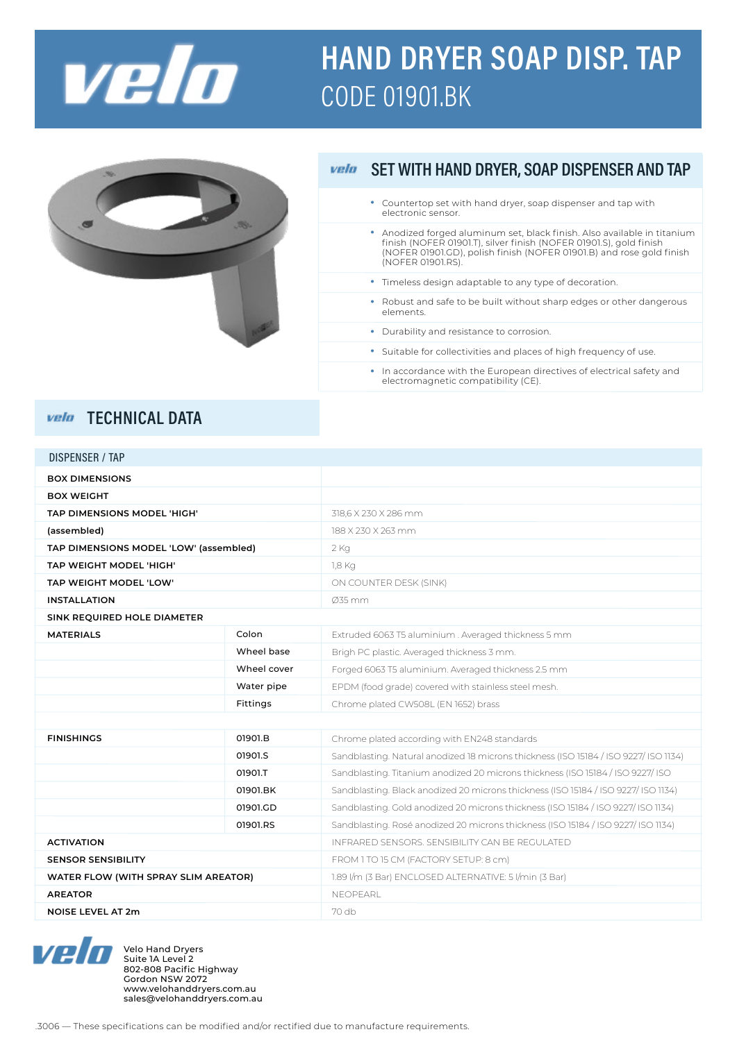

# **HAND DRYER SOAP DISP. TAP CODE 01901.BK**



#### SET WITH HAND DRYER, SOAP DISPENSER AND TAP vela

- Countertop set with hand dryer, soap dispenser and tap with electronic sensor.
- Anodized forged aluminum set, black finish. Also available in titanium finish (NOFER 01901.T), silver finish (NOFER 01901.S), gold finish (NOFER 01901.GD), polish finish (NOFER 01901.B) and rose gold finish (NOFER 01901.RS). •
- Timeless design adaptable to any type of decoration. •
- Robust and safe to be built without sharp edges or other dangerous elements.
- Durability and resistance to corrosion.
- Suitable for collectivities and places of high frequency of use.
- In accordance with the European directives of electrical safety and electromagnetic compatibility (CE).

### vela TECHNICAL DATA

| DISPENSER / TAP                        |             |                                                                                      |
|----------------------------------------|-------------|--------------------------------------------------------------------------------------|
| <b>BOX DIMENSIONS</b>                  |             |                                                                                      |
| <b>BOX WEIGHT</b>                      |             |                                                                                      |
| TAP DIMENSIONS MODEL 'HIGH'            |             | 318,6 X 230 X 286 mm                                                                 |
| (assembled)                            |             | 188 X 230 X 263 mm                                                                   |
| TAP DIMENSIONS MODEL 'LOW' (assembled) |             | $2$ Kg                                                                               |
| TAP WEIGHT MODEL 'HIGH'                |             | 1,8 Kg                                                                               |
| TAP WEIGHT MODEL 'LOW'                 |             | ON COUNTER DESK (SINK)                                                               |
| <b>INSTALLATION</b>                    |             | Ø35 mm                                                                               |
| SINK REQUIRED HOLE DIAMETER            |             |                                                                                      |
| <b>MATERIALS</b>                       | Colon       | Extruded 6063 T5 aluminium. Averaged thickness 5 mm                                  |
|                                        | Wheel base  | Brigh PC plastic. Averaged thickness 3 mm.                                           |
|                                        | Wheel cover | Forged 6063 T5 aluminium. Averaged thickness 2.5 mm                                  |
|                                        | Water pipe  | EPDM (food grade) covered with stainless steel mesh.                                 |
|                                        | Fittings    | Chrome plated CW508L (EN 1652) brass                                                 |
|                                        |             |                                                                                      |
| <b>FINISHINGS</b>                      | 01901.B     | Chrome plated according with EN248 standards                                         |
|                                        | 01901.S     | Sandblasting. Natural anodized 18 microns thickness (ISO 15184 / ISO 9227/ ISO 1134) |
|                                        | 01901.T     | Sandblasting. Titanium anodized 20 microns thickness (ISO 15184 / ISO 9227/ ISO      |
|                                        | 01901.BK    | Sandblasting. Black anodized 20 microns thickness (ISO 15184 / ISO 9227/ ISO 1134)   |
|                                        | 01901.GD    | Sandblasting. Gold anodized 20 microns thickness (ISO 15184 / ISO 9227/ ISO 1134)    |
|                                        | 01901.RS    | Sandblasting. Rosé anodized 20 microns thickness (ISO 15184 / ISO 9227/ ISO 1134)    |
| <b>ACTIVATION</b>                      |             | INFRARED SENSORS, SENSIBILITY CAN BE REGULATED.                                      |
| <b>SENSOR SENSIBILITY</b>              |             | FROM 1 TO 15 CM (FACTORY SETUP: 8 cm)                                                |
| WATER FLOW (WITH SPRAY SLIM AREATOR)   |             | 1.89 I/m (3 Bar) ENCLOSED ALTERNATIVE: 5 I/min (3 Bar)                               |
| <b>AREATOR</b>                         |             | <b>NEOPEARL</b>                                                                      |
| <b>NOISE LEVEL AT 2m</b>               |             | 70 db                                                                                |



Velo Hand Dryers Suite 1A Level 2 802-808 Pacific Highway Gordon NSW 2072 www.velohanddryers.com.au sales@velohanddryers.com.au

.3006 ― These specifications can be modified and/or rectified due to manufacture requirements.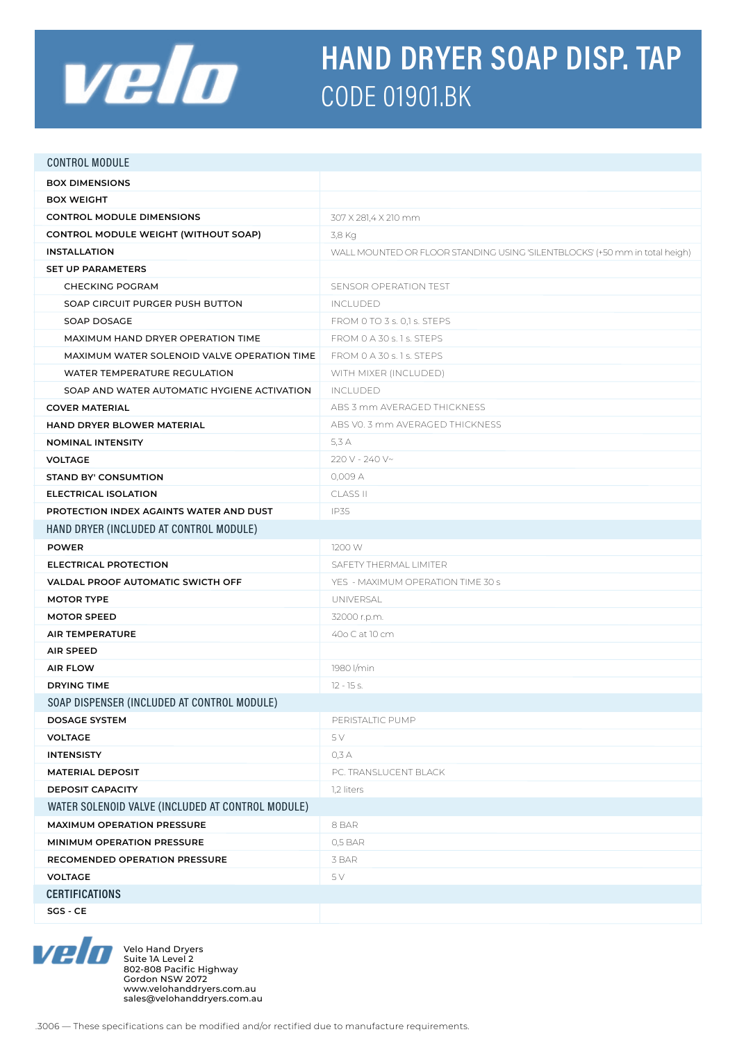

# **HAND DRYER SOAP DISP. TAP CODE 01901.BK**

| <b>CONTROL MODULE</b>                             |                                                                             |  |
|---------------------------------------------------|-----------------------------------------------------------------------------|--|
| <b>BOX DIMENSIONS</b>                             |                                                                             |  |
| <b>BOX WEIGHT</b>                                 |                                                                             |  |
| <b>CONTROL MODULE DIMENSIONS</b>                  | 307 X 281,4 X 210 mm                                                        |  |
| CONTROL MODULE WEIGHT (WITHOUT SOAP)              | 3,8 Kg                                                                      |  |
| <b>INSTALLATION</b>                               | WALL MOUNTED OR FLOOR STANDING USING 'SILENTBLOCKS' (+50 mm in total heigh) |  |
| <b>SET UP PARAMETERS</b>                          |                                                                             |  |
| <b>CHECKING POGRAM</b>                            | SENSOR OPERATION TEST                                                       |  |
| SOAP CIRCUIT PURGER PUSH BUTTON                   | <b>INCLUDED</b>                                                             |  |
| SOAP DOSAGE                                       | FROM 0 TO 3 s. 0,1 s. STEPS                                                 |  |
| MAXIMUM HAND DRYER OPERATION TIME                 | FROM 0 A 30 s. 1 s. STEPS                                                   |  |
| MAXIMUM WATER SOLENOID VALVE OPERATION TIME       | FROM 0 A 30 s. 1 s. STEPS                                                   |  |
| WATER TEMPERATURE REGULATION                      | WITH MIXER (INCLUDED)                                                       |  |
| SOAP AND WATER AUTOMATIC HYGIENE ACTIVATION       | INCLUDED                                                                    |  |
| <b>COVER MATERIAL</b>                             | ABS 3 mm AVERAGED THICKNESS                                                 |  |
| HAND DRYER BLOWER MATERIAL                        | ABS VO. 3 mm AVERAGED THICKNESS                                             |  |
| <b>NOMINAL INTENSITY</b>                          | 5.3 A                                                                       |  |
| <b>VOLTAGE</b>                                    | 220 V - 240 V~                                                              |  |
| <b>STAND BY' CONSUMTION</b>                       | 0,009 A                                                                     |  |
| <b>ELECTRICAL ISOLATION</b>                       | <b>CLASS II</b>                                                             |  |
| PROTECTION INDEX AGAINTS WATER AND DUST           | <b>IP35</b>                                                                 |  |
| HAND DRYER (INCLUDED AT CONTROL MODULE)           |                                                                             |  |
| <b>POWER</b>                                      | 1200 W                                                                      |  |
| ELECTRICAL PROTECTION                             | SAFETY THERMAL LIMITER                                                      |  |
| VALDAL PROOF AUTOMATIC SWICTH OFF                 | YES - MAXIMUM OPERATION TIME 30 s                                           |  |
| <b>MOTOR TYPE</b>                                 | UNIVERSAL                                                                   |  |
| <b>MOTOR SPEED</b>                                | 32000 r.p.m.                                                                |  |
| <b>AIR TEMPERATURE</b>                            | 40o C at 10 cm                                                              |  |
| <b>AIR SPEED</b>                                  |                                                                             |  |
| <b>AIR FLOW</b>                                   | 1980 l/min                                                                  |  |
| <b>DRYING TIME</b>                                | $12 - 15$ s.                                                                |  |
| SOAP DISPENSER (INCLUDED AT CONTROL MODULE)       |                                                                             |  |
| <b>DOSAGE SYSTEM</b>                              | PERISTALTIC PUMP                                                            |  |
| <b>VOLTAGE</b>                                    | 5 V                                                                         |  |
| <b>INTENSISTY</b>                                 | 0,3 A                                                                       |  |
| <b>MATERIAL DEPOSIT</b>                           | PC. TRANSLUCENT BLACK                                                       |  |
| <b>DEPOSIT CAPACITY</b>                           | 1,2 liters                                                                  |  |
| WATER SOLENOID VALVE (INCLUDED AT CONTROL MODULE) |                                                                             |  |
| MAXIMUM OPERATION PRESSURE                        | 8 BAR                                                                       |  |
| MINIMUM OPERATION PRESSURE                        | 0,5 BAR                                                                     |  |
| RECOMENDED OPERATION PRESSURE                     | 3 BAR                                                                       |  |
| <b>VOLTAGE</b>                                    | 5V                                                                          |  |
| <b>CERTIFICATIONS</b>                             |                                                                             |  |
| SGS - CE                                          |                                                                             |  |



Velo Hand Dryers Suite 1A Level 2 802-808 Pacific Highway Gordon NSW 2072 www.velohanddryers.com.au sales@velohanddryers.com.au